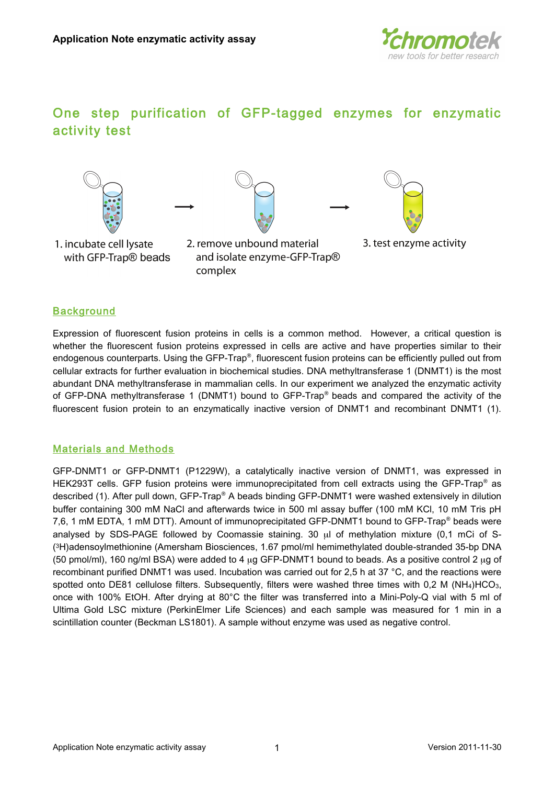

# One step purification of GFP-tagged enzymes for enzymatic activity
test





- 1. incubate cell lysate with GFP-Trap<sup>®</sup> beads
- 2. remove unbound material and isolate enzyme-GFP-Trap® complex
- 



## **Background**

Expression of fluorescent fusion proteins in cells is a common method. However, a critical question is whether the fluorescent fusion proteins expressed in cells are active and have properties similar to their endogenous counterparts. Using the GFP-Trap®, fluorescent fusion proteins can be efficiently pulled out from cellular
extracts
for
further
evaluation
in
biochemical
studies.
DNA
methyltransferase
1
(DNMT1)
is
the
most abundant DNA methyltransferase in mammalian cells. In our experiment we analyzed the enzymatic activity of GFP-DNA methyltransferase 1 (DNMT1) bound to GFP-Trap® beads and compared the activity of the fluorescent fusion protein to an enzymatically inactive version of DNMT1 and recombinant DNMT1 (1).

## Materials and Methods

GFP-DNMT1 or GFP-DNMT1 (P1229W), a catalytically inactive version of DNMT1, was expressed in HEK293T cells. GFP fusion proteins were immunoprecipitated from cell extracts using the GFP-Trap<sup>®</sup> as described (1). After pull down, GFP-Trap® A beads binding GFP-DNMT1 were washed extensively in dilution buffer containing 300 mM NaCl and afterwards twice in 500 ml assay buffer (100 mM KCl, 10 mM Tris pH 7,6, 1 mM EDTA, 1 mM DTT). Amount of immunoprecipitated GFP-DNMT1 bound to GFP-Trap® beads were analysed by SDS-PAGE followed by Coomassie staining. 30 ul of methylation mixture (0,1 mCi of S-(3H)adensoylmethionine
(Amersham
Biosciences,
1.67
pmol/ml
hemimethylated
double-stranded
35-bp
DNA (50 pmol/ml), 160 ng/ml BSA) were added to 4 ug GFP-DNMT1 bound to beads. As a positive control 2 ug of recombinant purified DNMT1 was used. Incubation was carried out for 2,5 h at 37 °C, and the reactions were spotted onto DE81 cellulose filters. Subsequently, filters were washed three times with 0,2 M (NH<sub>4</sub>)HCO<sub>3</sub>, once with 100% EtOH. After drying at 80°C the filter was transferred into a Mini-Poly-Q vial with 5 ml of Ultima Gold LSC mixture (PerkinElmer Life Sciences) and each sample was measured for 1 min in a scintillation counter (Beckman LS1801). A sample without enzyme was used as negative control.